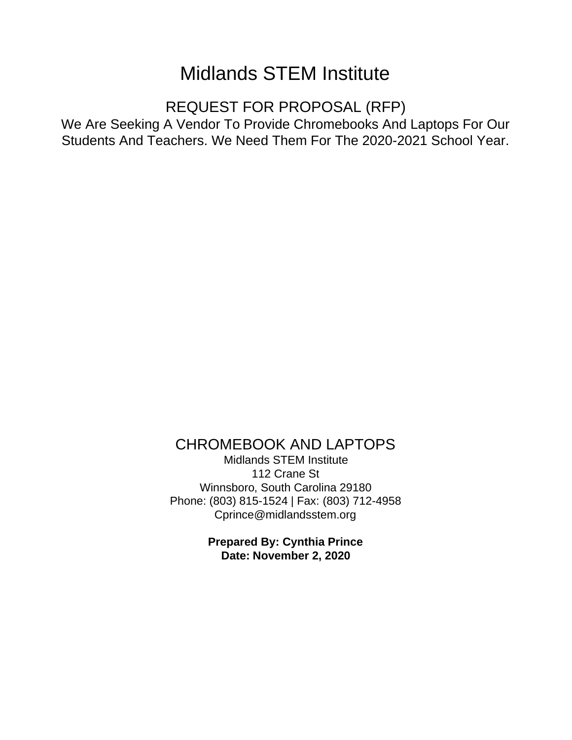# Midlands STEM Institute

REQUEST FOR PROPOSAL (RFP)

We Are Seeking A Vendor To Provide Chromebooks And Laptops For Our Students And Teachers. We Need Them For The 2020-2021 School Year.

CHROMEBOOK AND LAPTOPS

Midlands STEM Institute 112 Crane St Winnsboro, South Carolina 29180 Phone: (803) 815-1524 | Fax: (803) 712-4958 Cprince@midlandsstem.org

> **Prepared By: Cynthia Prince Date: November 2, 2020**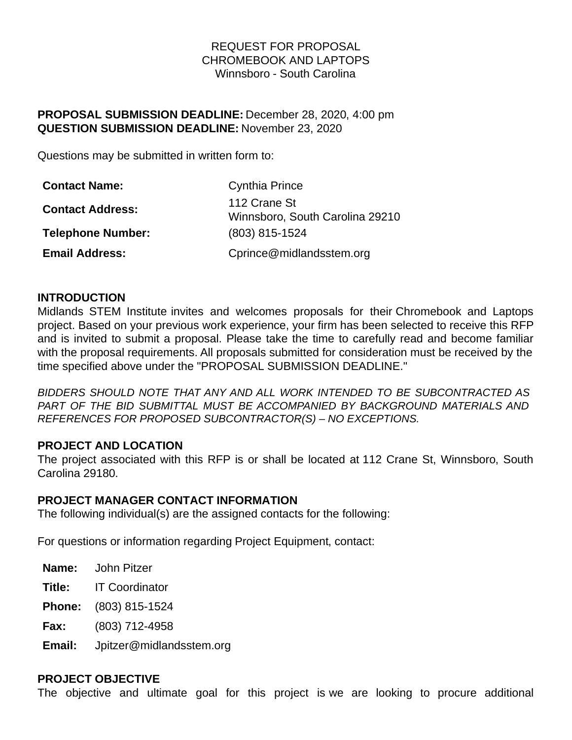# REQUEST FOR PROPOSAL CHROMEBOOK AND LAPTOPS Winnsboro - South Carolina

# **PROPOSAL SUBMISSION DEADLINE:** December 28, 2020, 4:00 pm **QUESTION SUBMISSION DEADLINE:** November 23, 2020

Questions may be submitted in written form to:

| <b>Contact Name:</b>     | <b>Cynthia Prince</b>                           |
|--------------------------|-------------------------------------------------|
| <b>Contact Address:</b>  | 112 Crane St<br>Winnsboro, South Carolina 29210 |
| <b>Telephone Number:</b> | (803) 815-1524                                  |
| <b>Email Address:</b>    | Cprince@midlandsstem.org                        |

### **INTRODUCTION**

Midlands STEM Institute invites and welcomes proposals for their Chromebook and Laptops project. Based on your previous work experience, your firm has been selected to receive this RFP and is invited to submit a proposal. Please take the time to carefully read and become familiar with the proposal requirements. All proposals submitted for consideration must be received by the time specified above under the "PROPOSAL SUBMISSION DEADLINE."

*BIDDERS SHOULD NOTE THAT ANY AND ALL WORK INTENDED TO BE SUBCONTRACTED AS PART OF THE BID SUBMITTAL MUST BE ACCOMPANIED BY BACKGROUND MATERIALS AND REFERENCES FOR PROPOSED SUBCONTRACTOR(S) – NO EXCEPTIONS.*

### **PROJECT AND LOCATION**

The project associated with this RFP is or shall be located at 112 Crane St, Winnsboro, South Carolina 29180.

### **PROJECT MANAGER CONTACT INFORMATION**

The following individual(s) are the assigned contacts for the following:

For questions or information regarding Project Equipment, contact:

**Name:** John Pitzer

**Title:** IT Coordinator

**Phone:** (803) 815-1524

**Fax:** (803) 712-4958

**Email:** Jpitzer@midlandsstem.org

#### **PROJECT OBJECTIVE**

The objective and ultimate goal for this project is we are looking to procure additional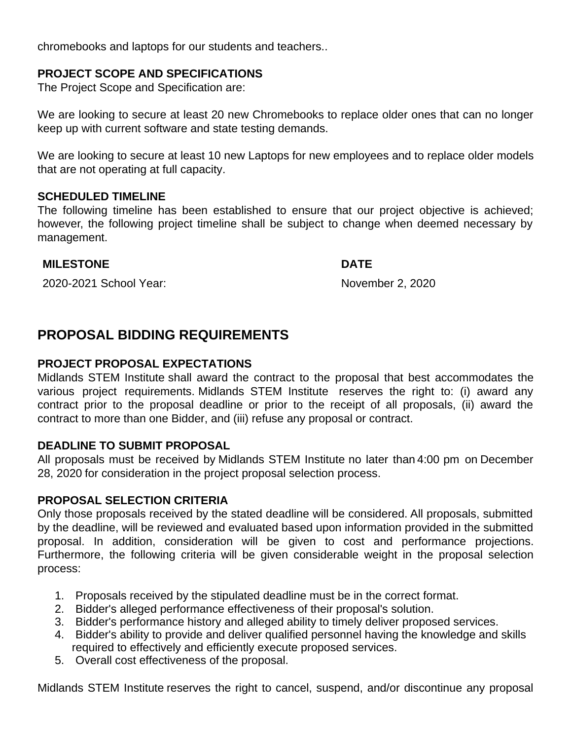chromebooks and laptops for our students and teachers..

# **PROJECT SCOPE AND SPECIFICATIONS**

The Project Scope and Specification are:

We are looking to secure at least 20 new Chromebooks to replace older ones that can no longer keep up with current software and state testing demands.

We are looking to secure at least 10 new Laptops for new employees and to replace older models that are not operating at full capacity.

### **SCHEDULED TIMELINE**

The following timeline has been established to ensure that our project objective is achieved; however, the following project timeline shall be subject to change when deemed necessary by management.

### **MILESTONE DATE**

2020-2021 School Year: November 2, 2020

# **PROPOSAL BIDDING REQUIREMENTS**

### **PROJECT PROPOSAL EXPECTATIONS**

Midlands STEM Institute shall award the contract to the proposal that best accommodates the various project requirements. Midlands STEM Institute reserves the right to: (i) award any contract prior to the proposal deadline or prior to the receipt of all proposals, (ii) award the contract to more than one Bidder, and (iii) refuse any proposal or contract.

### **DEADLINE TO SUBMIT PROPOSAL**

All proposals must be received by Midlands STEM Institute no later than 4:00 pm on December 28, 2020 for consideration in the project proposal selection process.

### **PROPOSAL SELECTION CRITERIA**

Only those proposals received by the stated deadline will be considered. All proposals, submitted by the deadline, will be reviewed and evaluated based upon information provided in the submitted proposal. In addition, consideration will be given to cost and performance projections. Furthermore, the following criteria will be given considerable weight in the proposal selection process:

- 1. Proposals received by the stipulated deadline must be in the correct format.
- 2. Bidder's alleged performance effectiveness of their proposal's solution.
- 3. Bidder's performance history and alleged ability to timely deliver proposed services.
- 4. Bidder's ability to provide and deliver qualified personnel having the knowledge and skills required to effectively and efficiently execute proposed services.
- 5. Overall cost effectiveness of the proposal.

Midlands STEM Institute reserves the right to cancel, suspend, and/or discontinue any proposal